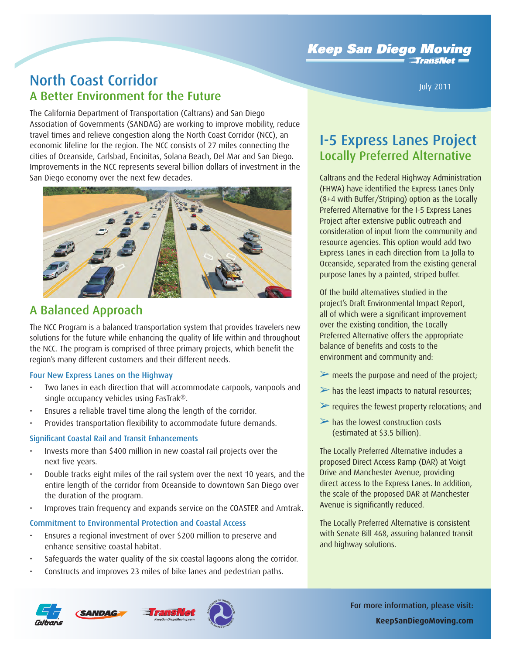**Keep San Diego Moving**  $\mathsf{T}$ rans $\mathsf{N}\mathsf{e}\mathsf{t} =$ 

## North Coast Corridor A Better Environment for the Future

The California Department of Transportation (Caltrans) and San Diego Association of Governments (SANDAG) are working to improve mobility, reduce travel times and relieve congestion along the North Coast Corridor (NCC), an economic lifeline for the region. The NCC consists of 27 miles connecting the cities of Oceanside, Carlsbad, Encinitas, Solana Beach, Del Mar and San Diego. Improvements in the NCC represents several billion dollars of investment in the San Diego economy over the next few decades.



### A Balanced Approach

The NCC Program is a balanced transportation system that provides travelers new solutions for the future while enhancing the quality of life within and throughout the NCC. The program is comprised of three primary projects, which benefit the region's many different customers and their different needs.

#### Four New Express Lanes on the Highway

- Two lanes in each direction that will accommodate carpools, vanpools and single occupancy vehicles using FasTrak®.
- Ensures a reliable travel time along the length of the corridor.
- Provides transportation flexibility to accommodate future demands.

#### Significant Coastal Rail and Transit Enhancements

- Invests more than \$400 million in new coastal rail projects over the next five years.
- Double tracks eight miles of the rail system over the next 10 years, and the entire length of the corridor from Oceanside to downtown San Diego over the duration of the program.
- Improves train frequency and expands service on the COASTER and Amtrak.

#### Commitment to Environmental Protection and Coastal Access

- Ensures a regional investment of over \$200 million to preserve and enhance sensitive coastal habitat.
- Safeguards the water quality of the six coastal lagoons along the corridor.
- Constructs and improves 23 miles of bike lanes and pedestrian paths.

# I-5 Express Lanes Project Locally Preferred Alternative

July 2011

Caltrans and the Federal Highway Administration (FHWA) have identified the Express Lanes Only (8+4 with Buffer/Striping) option as the Locally Preferred Alternative for the I-5 Express Lanes Project after extensive public outreach and consideration of input from the community and resource agencies. This option would add two Express Lanes in each direction from La Jolla to Oceanside, separated from the existing general purpose lanes by a painted, striped buffer.

Of the build alternatives studied in the project's Draft Environmental Impact Report, all of which were a significant improvement over the existing condition, the Locally Preferred Alternative offers the appropriate balance of benefits and costs to the environment and community and:

- ➢ meets the purpose and need of the project;
- $\triangleright$  has the least impacts to natural resources;
- $\triangleright$  requires the fewest property relocations; and
- $\triangleright$  has the lowest construction costs (estimated at \$3.5 billion).

The Locally Preferred Alternative includes a proposed Direct Access Ramp (DAR) at Voigt Drive and Manchester Avenue, providing direct access to the Express Lanes. In addition, the scale of the proposed DAR at Manchester Avenue is significantly reduced.

The Locally Preferred Alternative is consistent with Senate Bill 468, assuring balanced transit and highway solutions.



**SANDAG**